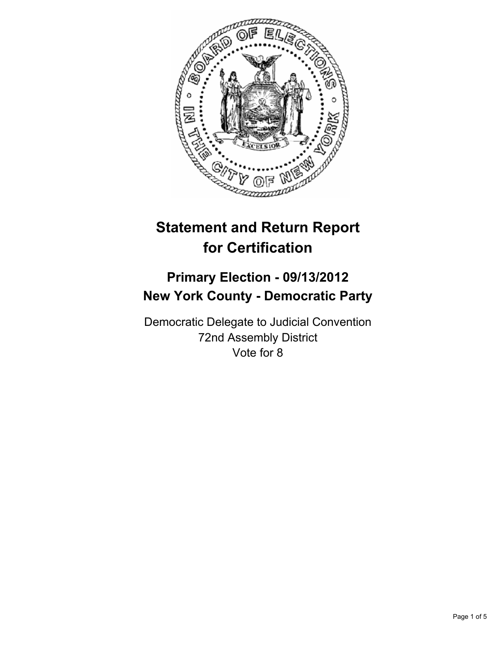

# **Statement and Return Report for Certification**

# **Primary Election - 09/13/2012 New York County - Democratic Party**

Democratic Delegate to Judicial Convention 72nd Assembly District Vote for 8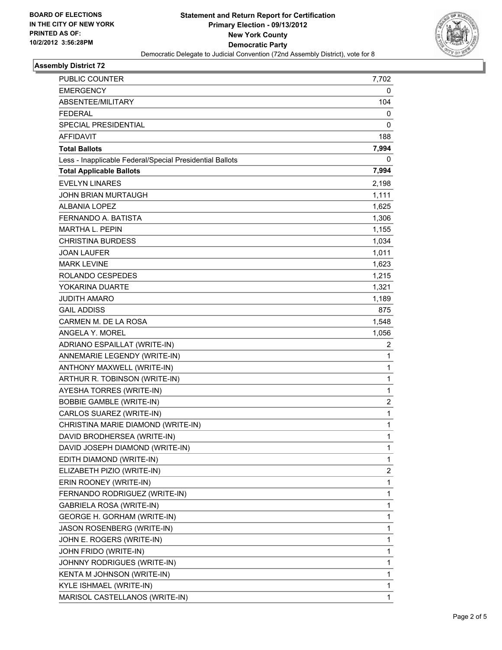

## **Assembly District 72**

| PUBLIC COUNTER                                           | 7,702        |
|----------------------------------------------------------|--------------|
| <b>EMERGENCY</b>                                         | 0            |
| ABSENTEE/MILITARY                                        | 104          |
| <b>FEDERAL</b>                                           | 0            |
| SPECIAL PRESIDENTIAL                                     | 0            |
| <b>AFFIDAVIT</b>                                         | 188          |
| <b>Total Ballots</b>                                     | 7,994        |
| Less - Inapplicable Federal/Special Presidential Ballots | 0            |
| <b>Total Applicable Ballots</b>                          | 7,994        |
| <b>EVELYN LINARES</b>                                    | 2,198        |
| JOHN BRIAN MURTAUGH                                      | 1,111        |
| ALBANIA LOPEZ                                            | 1,625        |
| FERNANDO A. BATISTA                                      | 1,306        |
| <b>MARTHA L. PEPIN</b>                                   | 1,155        |
| <b>CHRISTINA BURDESS</b>                                 | 1,034        |
| <b>JOAN LAUFER</b>                                       | 1,011        |
| <b>MARK LEVINE</b>                                       | 1,623        |
| ROLANDO CESPEDES                                         | 1,215        |
| YOKARINA DUARTE                                          | 1,321        |
| <b>JUDITH AMARO</b>                                      | 1,189        |
| <b>GAIL ADDISS</b>                                       | 875          |
| CARMEN M. DE LA ROSA                                     | 1,548        |
| ANGELA Y. MOREL                                          | 1,056        |
| ADRIANO ESPAILLAT (WRITE-IN)                             | 2            |
| ANNEMARIE LEGENDY (WRITE-IN)                             | 1            |
| ANTHONY MAXWELL (WRITE-IN)                               | 1            |
| ARTHUR R. TOBINSON (WRITE-IN)                            | $\mathbf{1}$ |
| AYESHA TORRES (WRITE-IN)                                 | 1            |
| <b>BOBBIE GAMBLE (WRITE-IN)</b>                          | 2            |
| CARLOS SUAREZ (WRITE-IN)                                 | $\mathbf{1}$ |
| CHRISTINA MARIE DIAMOND (WRITE-IN)                       | 1            |
| DAVID BRODHERSEA (WRITE-IN)                              | 1            |
| DAVID JOSEPH DIAMOND (WRITE-IN)                          | 1            |
| EDITH DIAMOND (WRITE-IN)                                 | 1            |
| ELIZABETH PIZIO (WRITE-IN)                               | 2            |
| ERIN ROONEY (WRITE-IN)                                   | 1            |
| FERNANDO RODRIGUEZ (WRITE-IN)                            | 1            |
| GABRIELA ROSA (WRITE-IN)                                 | 1            |
| GEORGE H. GORHAM (WRITE-IN)                              | 1            |
| JASON ROSENBERG (WRITE-IN)                               | 1            |
| JOHN E. ROGERS (WRITE-IN)                                | 1            |
| JOHN FRIDO (WRITE-IN)                                    | 1            |
| JOHNNY RODRIGUES (WRITE-IN)                              | 1            |
| KENTA M JOHNSON (WRITE-IN)                               | 1            |
| KYLE ISHMAEL (WRITE-IN)                                  | 1            |
| MARISOL CASTELLANOS (WRITE-IN)                           | 1            |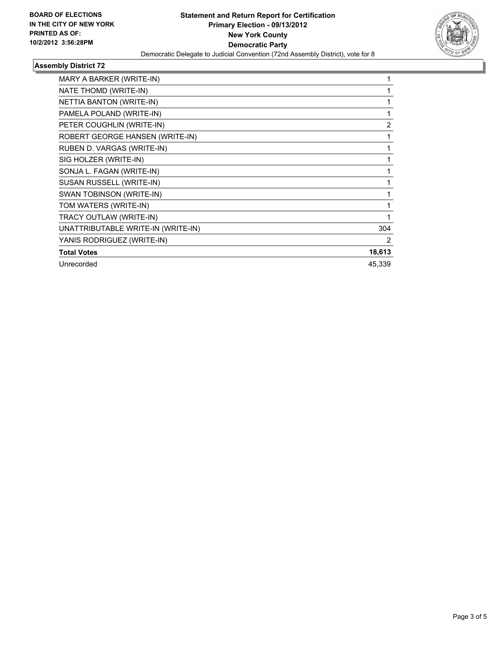

## **Assembly District 72**

| MARY A BARKER (WRITE-IN)           | 1      |
|------------------------------------|--------|
| NATE THOMD (WRITE-IN)              |        |
| NETTIA BANTON (WRITE-IN)           | 1      |
| PAMELA POLAND (WRITE-IN)           | 1      |
| PETER COUGHLIN (WRITE-IN)          | 2      |
| ROBERT GEORGE HANSEN (WRITE-IN)    | 1      |
| RUBEN D. VARGAS (WRITE-IN)         | 1      |
| SIG HOLZER (WRITE-IN)              |        |
| SONJA L. FAGAN (WRITE-IN)          | 1      |
| SUSAN RUSSELL (WRITE-IN)           | 1      |
| SWAN TOBINSON (WRITE-IN)           | 1      |
| TOM WATERS (WRITE-IN)              | 1      |
| TRACY OUTLAW (WRITE-IN)            | 1      |
| UNATTRIBUTABLE WRITE-IN (WRITE-IN) | 304    |
| YANIS RODRIGUEZ (WRITE-IN)         | 2      |
| <b>Total Votes</b>                 | 18,613 |
| Unrecorded                         | 45.339 |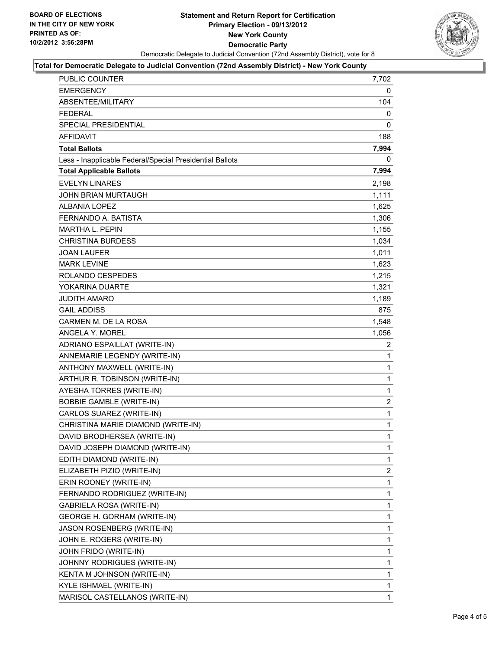

#### **Total for Democratic Delegate to Judicial Convention (72nd Assembly District) - New York County**

| PUBLIC COUNTER                                           | 7,702          |
|----------------------------------------------------------|----------------|
| <b>EMERGENCY</b>                                         | 0              |
| ABSENTEE/MILITARY                                        | 104            |
| <b>FEDERAL</b>                                           | 0              |
| <b>SPECIAL PRESIDENTIAL</b>                              | 0              |
| <b>AFFIDAVIT</b>                                         | 188            |
| <b>Total Ballots</b>                                     | 7,994          |
| Less - Inapplicable Federal/Special Presidential Ballots | 0              |
| <b>Total Applicable Ballots</b>                          | 7,994          |
| <b>EVELYN LINARES</b>                                    | 2,198          |
| <b>JOHN BRIAN MURTAUGH</b>                               | 1,111          |
| <b>ALBANIA LOPEZ</b>                                     | 1,625          |
| FERNANDO A. BATISTA                                      | 1,306          |
| <b>MARTHA L. PEPIN</b>                                   | 1,155          |
| <b>CHRISTINA BURDESS</b>                                 | 1,034          |
| <b>JOAN LAUFER</b>                                       | 1,011          |
| <b>MARK LEVINE</b>                                       | 1,623          |
| ROLANDO CESPEDES                                         | 1,215          |
| YOKARINA DUARTE                                          | 1,321          |
| JUDITH AMARO                                             | 1,189          |
| <b>GAIL ADDISS</b>                                       | 875            |
| CARMEN M. DE LA ROSA                                     | 1,548          |
| <b>ANGELA Y. MOREL</b>                                   | 1,056          |
| ADRIANO ESPAILLAT (WRITE-IN)                             | 2              |
| ANNEMARIE LEGENDY (WRITE-IN)                             | $\mathbf{1}$   |
| ANTHONY MAXWELL (WRITE-IN)                               | 1              |
| ARTHUR R. TOBINSON (WRITE-IN)                            | 1              |
| AYESHA TORRES (WRITE-IN)                                 | $\mathbf{1}$   |
| <b>BOBBIE GAMBLE (WRITE-IN)</b>                          | $\overline{c}$ |
| CARLOS SUAREZ (WRITE-IN)                                 | 1              |
| CHRISTINA MARIE DIAMOND (WRITE-IN)                       | 1              |
| DAVID BRODHERSEA (WRITE-IN)                              | 1              |
| DAVID JOSEPH DIAMOND (WRITE-IN)                          | 1              |
| EDITH DIAMOND (WRITE-IN)                                 | 1              |
| ELIZABETH PIZIO (WRITE-IN)                               | 2              |
| ERIN ROONEY (WRITE-IN)                                   | 1              |
| FERNANDO RODRIGUEZ (WRITE-IN)                            | 1              |
| <b>GABRIELA ROSA (WRITE-IN)</b>                          | 1              |
| GEORGE H. GORHAM (WRITE-IN)                              | 1              |
| JASON ROSENBERG (WRITE-IN)                               | 1              |
| JOHN E. ROGERS (WRITE-IN)                                | 1              |
| JOHN FRIDO (WRITE-IN)                                    | 1              |
| JOHNNY RODRIGUES (WRITE-IN)                              | 1              |
| KENTA M JOHNSON (WRITE-IN)                               | 1              |
| KYLE ISHMAEL (WRITE-IN)                                  | 1              |
| MARISOL CASTELLANOS (WRITE-IN)                           | 1              |